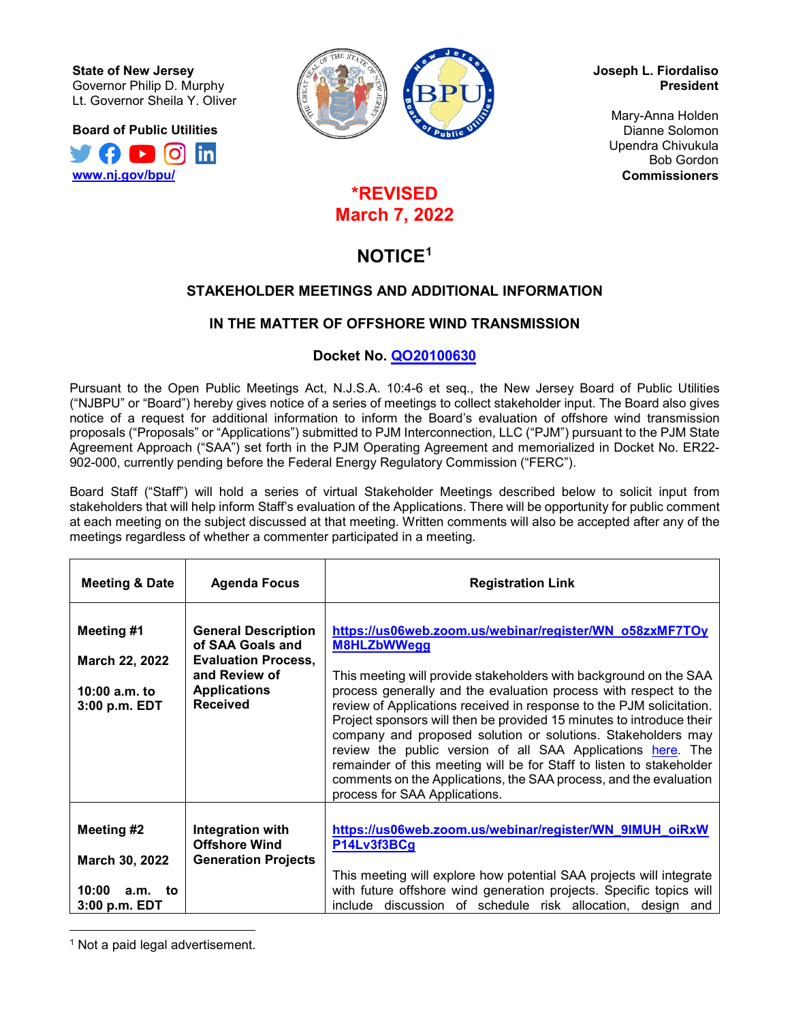**State of New Jersey** Governor Philip D. Murphy Lt. Governor Sheila Y. Oliver

**Board of Public Utilities**





**Joseph L. Fiordaliso President**

> Mary-Anna Holden Dianne Solomon Upendra Chivukula Bob Gordon **Commissioners**

# **\*REVISED March 7, 2022**

# **NOTICE[1](#page-0-0)**

# **STAKEHOLDER MEETINGS AND ADDITIONAL INFORMATION**

# **IN THE MATTER OF OFFSHORE WIND TRANSMISSION**

# **Docket No. [QO20100630](https://publicaccess.bpu.state.nj.us/CaseSummary.aspx?case_id=2109468)**

Pursuant to the Open Public Meetings Act, N.J.S.A. 10:4-6 et seq., the New Jersey Board of Public Utilities ("NJBPU" or "Board") hereby gives notice of a series of meetings to collect stakeholder input. The Board also gives notice of a request for additional information to inform the Board's evaluation of offshore wind transmission proposals ("Proposals" or "Applications") submitted to PJM Interconnection, LLC ("PJM") pursuant to the PJM State Agreement Approach ("SAA") set forth in the PJM Operating Agreement and memorialized in Docket No. ER22- 902-000, currently pending before the Federal Energy Regulatory Commission ("FERC").

Board Staff ("Staff") will hold a series of virtual Stakeholder Meetings described below to solicit input from stakeholders that will help inform Staff's evaluation of the Applications. There will be opportunity for public comment at each meeting on the subject discussed at that meeting. Written comments will also be accepted after any of the meetings regardless of whether a commenter participated in a meeting.

| <b>Meeting &amp; Date</b>                                              | <b>Agenda Focus</b>                                                                                                                     | <b>Registration Link</b>                                                                                                                                                                                                                                                                                                                                                                                                                                                                                                                                                                                                                                                            |
|------------------------------------------------------------------------|-----------------------------------------------------------------------------------------------------------------------------------------|-------------------------------------------------------------------------------------------------------------------------------------------------------------------------------------------------------------------------------------------------------------------------------------------------------------------------------------------------------------------------------------------------------------------------------------------------------------------------------------------------------------------------------------------------------------------------------------------------------------------------------------------------------------------------------------|
| Meeting #1<br>March 22, 2022<br>10:00 $a.m.$ to<br>3:00 p.m. EDT       | <b>General Description</b><br>of SAA Goals and<br><b>Evaluation Process,</b><br>and Review of<br><b>Applications</b><br><b>Received</b> | https://us06web.zoom.us/webinar/register/WN_058zxMF7TOy<br><b>M8HLZbWWegg</b><br>This meeting will provide stakeholders with background on the SAA<br>process generally and the evaluation process with respect to the<br>review of Applications received in response to the PJM solicitation.<br>Project sponsors will then be provided 15 minutes to introduce their<br>company and proposed solution or solutions. Stakeholders may<br>review the public version of all SAA Applications here. The<br>remainder of this meeting will be for Staff to listen to stakeholder<br>comments on the Applications, the SAA process, and the evaluation<br>process for SAA Applications. |
| Meeting #2<br>March 30, 2022<br>10:00<br>a.m.<br>to<br>$3:00$ p.m. EDT | Integration with<br><b>Offshore Wind</b><br><b>Generation Projects</b>                                                                  | https://us06web.zoom.us/webinar/register/WN_9IMUH_oiRxW<br>P14Lv3f3BCg<br>This meeting will explore how potential SAA projects will integrate<br>with future offshore wind generation projects. Specific topics will<br>include discussion of schedule risk allocation, design and                                                                                                                                                                                                                                                                                                                                                                                                  |

<span id="page-0-0"></span>l <sup>1</sup> Not a paid legal advertisement.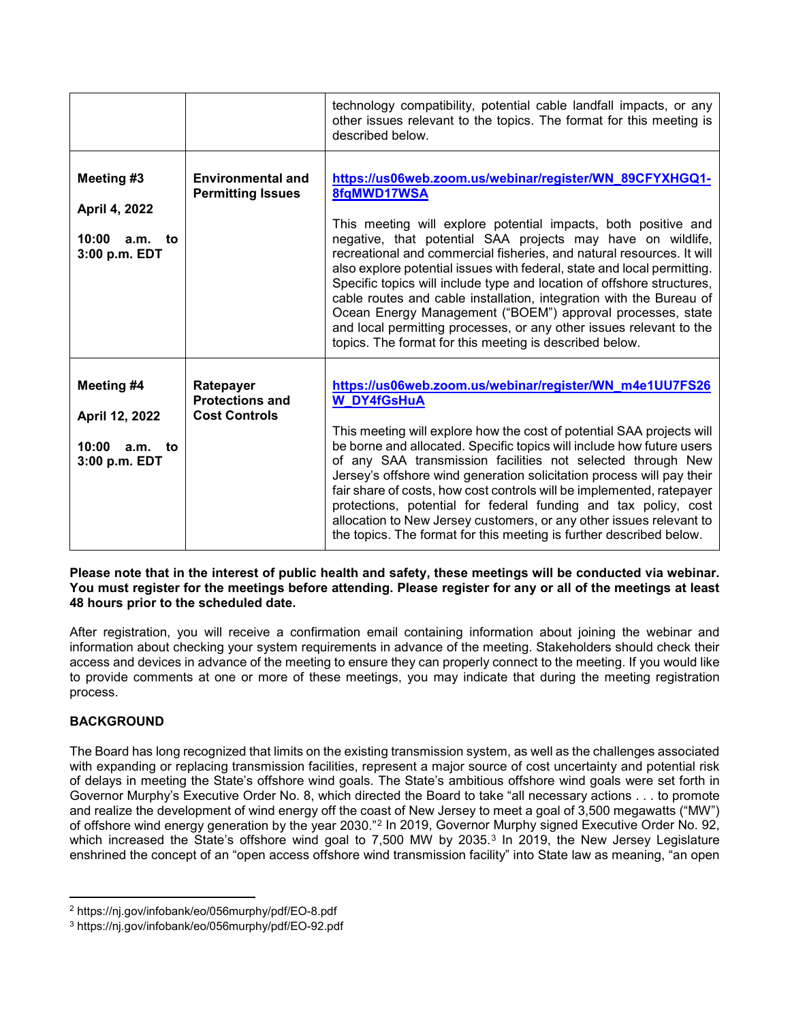|                                                                      |                                                             | technology compatibility, potential cable landfall impacts, or any<br>other issues relevant to the topics. The format for this meeting is<br>described below.                                                                                                                                                                                                                                                                                                                                                                                                                                                                                                                                                |
|----------------------------------------------------------------------|-------------------------------------------------------------|--------------------------------------------------------------------------------------------------------------------------------------------------------------------------------------------------------------------------------------------------------------------------------------------------------------------------------------------------------------------------------------------------------------------------------------------------------------------------------------------------------------------------------------------------------------------------------------------------------------------------------------------------------------------------------------------------------------|
| Meeting #3<br>April 4, 2022<br>10:00<br>a.m.<br>to<br>3:00 p.m. EDT  | <b>Environmental and</b><br><b>Permitting Issues</b>        | https://us06web.zoom.us/webinar/register/WN 89CFYXHGQ1-<br>8fgMWD17WSA<br>This meeting will explore potential impacts, both positive and<br>negative, that potential SAA projects may have on wildlife,<br>recreational and commercial fisheries, and natural resources. It will<br>also explore potential issues with federal, state and local permitting.<br>Specific topics will include type and location of offshore structures,<br>cable routes and cable installation, integration with the Bureau of<br>Ocean Energy Management ("BOEM") approval processes, state<br>and local permitting processes, or any other issues relevant to the<br>topics. The format for this meeting is described below. |
| Meeting #4<br>April 12, 2022<br>10:00<br>a.m.<br>to<br>3:00 p.m. EDT | Ratepayer<br><b>Protections and</b><br><b>Cost Controls</b> | https://us06web.zoom.us/webinar/register/WN_m4e1UU7FS26<br><b>W_DY4fGsHuA</b><br>This meeting will explore how the cost of potential SAA projects will<br>be borne and allocated. Specific topics will include how future users<br>of any SAA transmission facilities not selected through New<br>Jersey's offshore wind generation solicitation process will pay their<br>fair share of costs, how cost controls will be implemented, ratepayer<br>protections, potential for federal funding and tax policy, cost<br>allocation to New Jersey customers, or any other issues relevant to<br>the topics. The format for this meeting is further described below.                                            |

**Please note that in the interest of public health and safety, these meetings will be conducted via webinar. You must register for the meetings before attending. Please register for any or all of the meetings at least 48 hours prior to the scheduled date.**

After registration, you will receive a confirmation email containing information about joining the webinar and information about checking your system requirements in advance of the meeting. Stakeholders should check their access and devices in advance of the meeting to ensure they can properly connect to the meeting. If you would like to provide comments at one or more of these meetings, you may indicate that during the meeting registration process.

## **BACKGROUND**

 $\overline{\phantom{a}}$ 

The Board has long recognized that limits on the existing transmission system, as well as the challenges associated with expanding or replacing transmission facilities, represent a major source of cost uncertainty and potential risk of delays in meeting the State's offshore wind goals. The State's ambitious offshore wind goals were set forth in Governor Murphy's Executive Order No. 8, which directed the Board to take "all necessary actions . . . to promote and realize the development of wind energy off the coast of New Jersey to meet a goal of 3,500 megawatts ("MW") of offshore wind energy generation by the year 2030."[2](#page-1-0) In 2019, Governor Murphy signed Executive Order No. 92, which increased the State's offshore wind goal to 7,500 MW by 20[3](#page-1-1)5.<sup>3</sup> In 2019, the New Jersey Legislature enshrined the concept of an "open access offshore wind transmission facility" into State law as meaning, "an open

<span id="page-1-0"></span><sup>2</sup> https://nj.gov/infobank/eo/056murphy/pdf/EO-8.pdf

<span id="page-1-1"></span><sup>3</sup> https://nj.gov/infobank/eo/056murphy/pdf/EO-92.pdf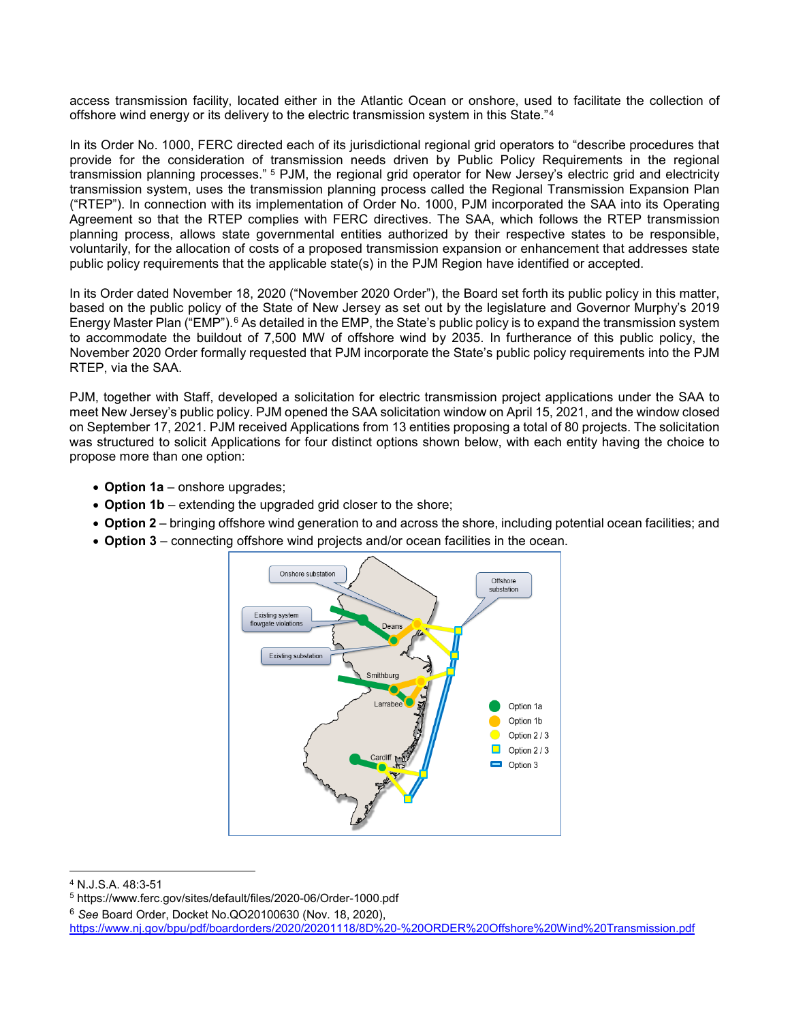access transmission facility, located either in the Atlantic Ocean or onshore, used to facilitate the collection of offshore wind energy or its delivery to the electric transmission system in this State."[4](#page-2-0)

In its Order No. 1000, FERC directed each of its jurisdictional regional grid operators to "describe procedures that provide for the consideration of transmission needs driven by Public Policy Requirements in the regional transmission planning processes." [5](#page-2-1) PJM, the regional grid operator for New Jersey's electric grid and electricity transmission system, uses the transmission planning process called the Regional Transmission Expansion Plan ("RTEP"). In connection with its implementation of Order No. 1000, PJM incorporated the SAA into its Operating Agreement so that the RTEP complies with FERC directives. The SAA, which follows the RTEP transmission planning process, allows state governmental entities authorized by their respective states to be responsible, voluntarily, for the allocation of costs of a proposed transmission expansion or enhancement that addresses state public policy requirements that the applicable state(s) in the PJM Region have identified or accepted.

In its Order dated November 18, 2020 ("November 2020 Order"), the Board set forth its public policy in this matter, based on the public policy of the State of New Jersey as set out by the legislature and Governor Murphy's 2019 Energy Master Plan ("EMP").<sup>[6](#page-2-2)</sup> As detailed in the EMP, the State's public policy is to expand the transmission system to accommodate the buildout of 7,500 MW of offshore wind by 2035. In furtherance of this public policy, the November 2020 Order formally requested that PJM incorporate the State's public policy requirements into the PJM RTEP, via the SAA.

PJM, together with Staff, developed a solicitation for electric transmission project applications under the SAA to meet New Jersey's public policy. PJM opened the SAA solicitation window on April 15, 2021, and the window closed on September 17, 2021. PJM received Applications from 13 entities proposing a total of 80 projects. The solicitation was structured to solicit Applications for four distinct options shown below, with each entity having the choice to propose more than one option:

- **Option 1a** onshore upgrades;
- **Option 1b** extending the upgraded grid closer to the shore;
- **Option 2** bringing offshore wind generation to and across the shore, including potential ocean facilities; and
- **Option 3** connecting offshore wind projects and/or ocean facilities in the ocean.



 $\overline{\phantom{a}}$ 

<span id="page-2-2"></span><sup>6</sup> *See* Board Order, Docket No.QO20100630 (Nov. 18, 2020),

<https://www.nj.gov/bpu/pdf/boardorders/2020/20201118/8D%20-%20ORDER%20Offshore%20Wind%20Transmission.pdf>

<span id="page-2-0"></span><sup>4</sup> N.J.S.A. 48:3-51

<span id="page-2-1"></span><sup>5</sup> https://www.ferc.gov/sites/default/files/2020-06/Order-1000.pdf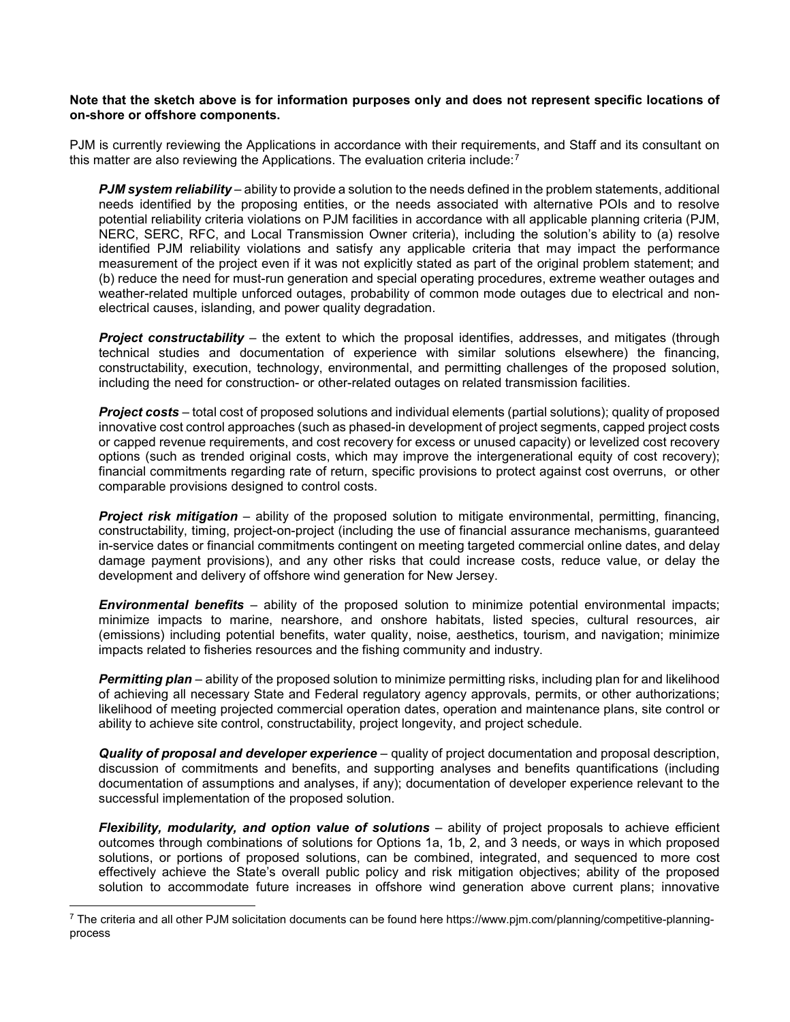#### **Note that the sketch above is for information purposes only and does not represent specific locations of on-shore or offshore components.**

PJM is currently reviewing the Applications in accordance with their requirements, and Staff and its consultant on this matter are also reviewing the Applications. The evaluation criteria include:<sup>[7](#page-3-0)</sup>

*PJM system reliability* – ability to provide a solution to the needs defined in the problem statements, additional needs identified by the proposing entities, or the needs associated with alternative POIs and to resolve potential reliability criteria violations on PJM facilities in accordance with all applicable planning criteria (PJM, NERC, SERC, RFC, and Local Transmission Owner criteria), including the solution's ability to (a) resolve identified PJM reliability violations and satisfy any applicable criteria that may impact the performance measurement of the project even if it was not explicitly stated as part of the original problem statement; and (b) reduce the need for must-run generation and special operating procedures, extreme weather outages and weather-related multiple unforced outages, probability of common mode outages due to electrical and nonelectrical causes, islanding, and power quality degradation.

**Project constructability** – the extent to which the proposal identifies, addresses, and mitigates (through technical studies and documentation of experience with similar solutions elsewhere) the financing, constructability, execution, technology, environmental, and permitting challenges of the proposed solution, including the need for construction- or other-related outages on related transmission facilities.

*Project costs* – total cost of proposed solutions and individual elements (partial solutions); quality of proposed innovative cost control approaches (such as phased-in development of project segments, capped project costs or capped revenue requirements, and cost recovery for excess or unused capacity) or levelized cost recovery options (such as trended original costs, which may improve the intergenerational equity of cost recovery); financial commitments regarding rate of return, specific provisions to protect against cost overruns, or other comparable provisions designed to control costs.

*Project risk mitigation* – ability of the proposed solution to mitigate environmental, permitting, financing, constructability, timing, project-on-project (including the use of financial assurance mechanisms, guaranteed in-service dates or financial commitments contingent on meeting targeted commercial online dates, and delay damage payment provisions), and any other risks that could increase costs, reduce value, or delay the development and delivery of offshore wind generation for New Jersey.

*Environmental benefits* – ability of the proposed solution to minimize potential environmental impacts; minimize impacts to marine, nearshore, and onshore habitats, listed species, cultural resources, air (emissions) including potential benefits, water quality, noise, aesthetics, tourism, and navigation; minimize impacts related to fisheries resources and the fishing community and industry.

*Permitting plan* – ability of the proposed solution to minimize permitting risks, including plan for and likelihood of achieving all necessary State and Federal regulatory agency approvals, permits, or other authorizations; likelihood of meeting projected commercial operation dates, operation and maintenance plans, site control or ability to achieve site control, constructability, project longevity, and project schedule.

*Quality of proposal and developer experience* – quality of project documentation and proposal description, discussion of commitments and benefits, and supporting analyses and benefits quantifications (including documentation of assumptions and analyses, if any); documentation of developer experience relevant to the successful implementation of the proposed solution.

*Flexibility, modularity, and option value of solutions* – ability of project proposals to achieve efficient outcomes through combinations of solutions for Options 1a, 1b, 2, and 3 needs, or ways in which proposed solutions, or portions of proposed solutions, can be combined, integrated, and sequenced to more cost effectively achieve the State's overall public policy and risk mitigation objectives; ability of the proposed solution to accommodate future increases in offshore wind generation above current plans; innovative

 $\overline{a}$ 

<span id="page-3-0"></span> $\frac{7}{1}$  The criteria and all other PJM solicitation documents can be found here https://www.pjm.com/planning/competitive-planningprocess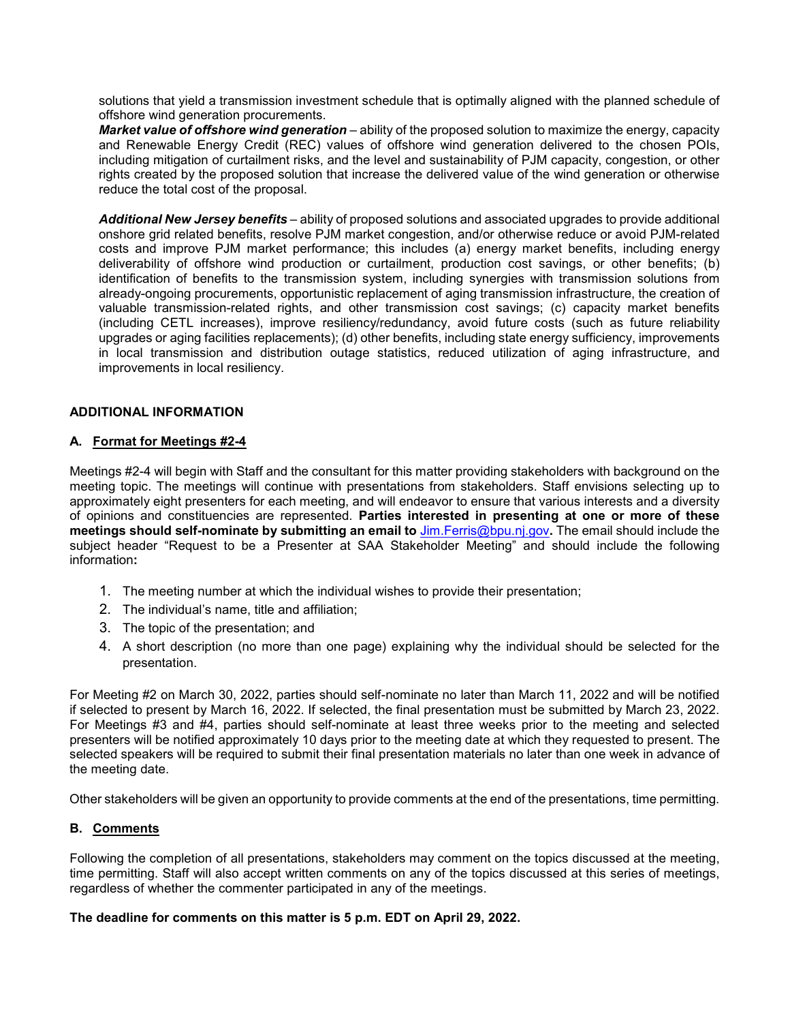solutions that yield a transmission investment schedule that is optimally aligned with the planned schedule of offshore wind generation procurements.

*Market value of offshore wind generation* – ability of the proposed solution to maximize the energy, capacity and Renewable Energy Credit (REC) values of offshore wind generation delivered to the chosen POIs, including mitigation of curtailment risks, and the level and sustainability of PJM capacity, congestion, or other rights created by the proposed solution that increase the delivered value of the wind generation or otherwise reduce the total cost of the proposal.

*Additional New Jersey benefits* – ability of proposed solutions and associated upgrades to provide additional onshore grid related benefits, resolve PJM market congestion, and/or otherwise reduce or avoid PJM-related costs and improve PJM market performance; this includes (a) energy market benefits, including energy deliverability of offshore wind production or curtailment, production cost savings, or other benefits; (b) identification of benefits to the transmission system, including synergies with transmission solutions from already-ongoing procurements, opportunistic replacement of aging transmission infrastructure, the creation of valuable transmission-related rights, and other transmission cost savings; (c) capacity market benefits (including CETL increases), improve resiliency/redundancy, avoid future costs (such as future reliability upgrades or aging facilities replacements); (d) other benefits, including state energy sufficiency, improvements in local transmission and distribution outage statistics, reduced utilization of aging infrastructure, and improvements in local resiliency.

## **ADDITIONAL INFORMATION**

#### **A. Format for Meetings #2-4**

Meetings #2-4 will begin with Staff and the consultant for this matter providing stakeholders with background on the meeting topic. The meetings will continue with presentations from stakeholders. Staff envisions selecting up to approximately eight presenters for each meeting, and will endeavor to ensure that various interests and a diversity of opinions and constituencies are represented. **Parties interested in presenting at one or more of these meetings should self-nominate by submitting an email to** [Jim.Ferris@bpu.nj.gov](mailto:Jim.Ferris@bpu.nj.gov)**.** The email should include the subject header "Request to be a Presenter at SAA Stakeholder Meeting" and should include the following information**:**

- 1. The meeting number at which the individual wishes to provide their presentation;
- 2. The individual's name, title and affiliation;
- 3. The topic of the presentation; and
- 4. A short description (no more than one page) explaining why the individual should be selected for the presentation.

For Meeting #2 on March 30, 2022, parties should self-nominate no later than March 11, 2022 and will be notified if selected to present by March 16, 2022. If selected, the final presentation must be submitted by March 23, 2022. For Meetings #3 and #4, parties should self-nominate at least three weeks prior to the meeting and selected presenters will be notified approximately 10 days prior to the meeting date at which they requested to present. The selected speakers will be required to submit their final presentation materials no later than one week in advance of the meeting date.

Other stakeholders will be given an opportunity to provide comments at the end of the presentations, time permitting.

## **B. Comments**

Following the completion of all presentations, stakeholders may comment on the topics discussed at the meeting, time permitting. Staff will also accept written comments on any of the topics discussed at this series of meetings, regardless of whether the commenter participated in any of the meetings.

#### **The deadline for comments on this matter is 5 p.m. EDT on April 29, 2022.**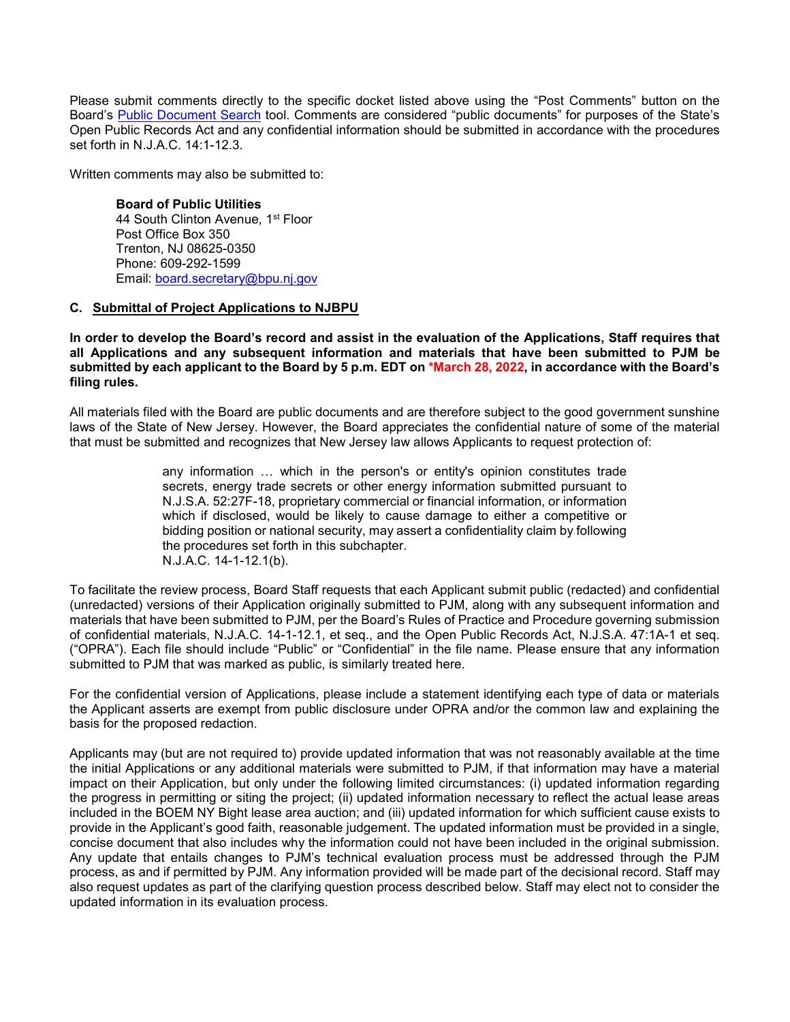Please submit comments directly to the specific docket listed above using the "Post Comments" button on the Board's [Public Document Search](https://publicaccess.bpu.state.nj.us/) tool. Comments are considered "public documents" for purposes of the State's Open Public Records Act and any confidential information should be submitted in accordance with the procedures set forth in N.J.A.C. 14:1-12.3.

Written comments may also be submitted to:

**Board of Public Utilities** 44 South Clinton Avenue, 1st Floor Post Office Box 350 Trenton, NJ 08625-0350 Phone: 609-292-1599 Email: [board.secretary@bpu.nj.gov](mailto:board.secretary@bpu.nj.gov)

#### **C. Submittal of Project Applications to NJBPU**

**In order to develop the Board's record and assist in the evaluation of the Applications, Staff requires that all Applications and any subsequent information and materials that have been submitted to PJM be submitted by each applicant to the Board by 5 p.m. EDT on \*March 28, 2022, in accordance with the Board's filing rules.** 

All materials filed with the Board are public documents and are therefore subject to the good government sunshine laws of the State of New Jersey. However, the Board appreciates the confidential nature of some of the material that must be submitted and recognizes that New Jersey law allows Applicants to request protection of:

> any information … which in the person's or entity's opinion constitutes trade secrets, energy trade secrets or other energy information submitted pursuant to N.J.S.A. 52:27F-18, proprietary commercial or financial information, or information which if disclosed, would be likely to cause damage to either a competitive or bidding position or national security, may assert a confidentiality claim by following the procedures set forth in this subchapter. N.J.A.C. 14-1-12.1(b).

To facilitate the review process, Board Staff requests that each Applicant submit public (redacted) and confidential (unredacted) versions of their Application originally submitted to PJM, along with any subsequent information and materials that have been submitted to PJM, per the Board's Rules of Practice and Procedure governing submission of confidential materials, N.J.A.C. 14-1-12.1, et seq., and the Open Public Records Act, N.J.S.A. 47:1A-1 et seq. ("OPRA"). Each file should include "Public" or "Confidential" in the file name. Please ensure that any information submitted to PJM that was marked as public, is similarly treated here.

For the confidential version of Applications, please include a statement identifying each type of data or materials the Applicant asserts are exempt from public disclosure under OPRA and/or the common law and explaining the basis for the proposed redaction.

Applicants may (but are not required to) provide updated information that was not reasonably available at the time the initial Applications or any additional materials were submitted to PJM, if that information may have a material impact on their Application, but only under the following limited circumstances: (i) updated information regarding the progress in permitting or siting the project; (ii) updated information necessary to reflect the actual lease areas included in the BOEM NY Bight lease area auction; and (iii) updated information for which sufficient cause exists to provide in the Applicant's good faith, reasonable judgement. The updated information must be provided in a single, concise document that also includes why the information could not have been included in the original submission. Any update that entails changes to PJM's technical evaluation process must be addressed through the PJM process, as and if permitted by PJM. Any information provided will be made part of the decisional record. Staff may also request updates as part of the clarifying question process described below. Staff may elect not to consider the updated information in its evaluation process.